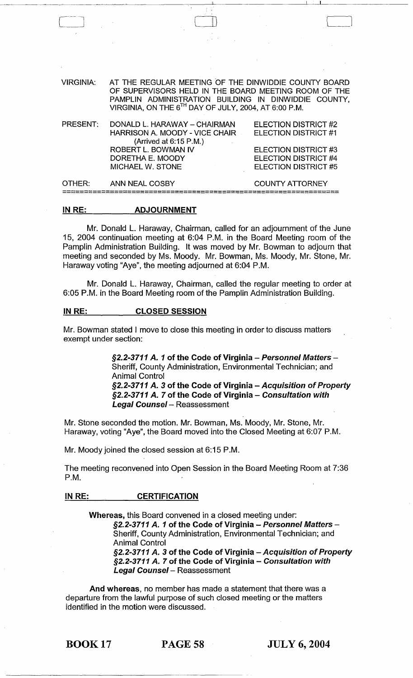| <b>VIRGINIA:</b> | AT THE REGULAR MEETING OF THE DINWIDDIE COUNTY BOARD<br>OF SUPERVISORS HELD IN THE BOARD MEETING ROOM OF THE<br>PAMPLIN ADMINISTRATION BUILDING IN DINWIDDIE COUNTY,<br>VIRGINIA, ON THE 6TH DAY OF JULY, 2004, AT 6:00 P.M. |                                                                                                                             |
|------------------|------------------------------------------------------------------------------------------------------------------------------------------------------------------------------------------------------------------------------|-----------------------------------------------------------------------------------------------------------------------------|
| PRESENT:         | DONALD L. HARAWAY - CHAIRMAN<br>HARRISON A. MOODY - VICE CHAIR<br>(Arrived at 6:15 P.M.)<br><b>ROBERT L. BOWMAN IV</b><br>DORETHA E. MOODY<br><b>MICHAEL W. STONE</b>                                                        | ELECTION DISTRICT #2<br>ELECTION DISTRICT #1<br>ELECTION DISTRICT #3<br><b>ELECTION DISTRICT #4</b><br>ELECTION DISTRICT #5 |
| OTHER:           | <b>ANN NEAL COSBY</b>                                                                                                                                                                                                        | <b>COUNTY ATTORNEY</b>                                                                                                      |
|                  |                                                                                                                                                                                                                              |                                                                                                                             |

LJ

### IN RE: ADJOURNMENT

Mr. Donald L. Haraway, Chairman, called for an adjournment of the June 15, 2004 continuation meeting at 6:04 P.M. in the Board Meeting room of the Pamplin Administration Building. It was moved by Mr. Bowman to adjourn that meeting and seconded by Ms. Moody. Mr. Bowman, Ms. Moody, Mr. Stone, Mr. Haraway voting "Aye", the meeting adjourned at 6:04 P.M.

Mr. Donald L. Haraway, Chairman, called the regular meeting to order at 6:05 P.M. in the Board Meeting room of the Pamplin Administration Building.

## IN RE: CLOSED SESSION

Mr. Bowman stated I move to close this meeting in order to discuss matters exempt under section:

> §2.2-3711 A. 1 of the Code of Virginia - Personnel Matters -Sheriff, County Administration, Environmental Technician; and Animal Control §2.2-3711 A. 3 of the Code of Virginia - Acquisition of Property §2.2-3711 A. 7 of the Code of Virginia - Consultation with Legal Counsel - Reassessment

Mr. Stone seconded the motion. Mr. Bowman, Ms. Moody, Mr. Stone, Mr. Haraway, voting "Aye", the Board moved into the Closed Meeting at 6:07 P.M.

Mr. Moody joined the closed session at 6:15 P.M.

The meeting reconvened into Open Session in the Board Meeting Room at 7:36 P.M.

# IN RE: CERTIFICATION

Whereas, this Board convened in a closed meeting under: §2.2-3711 A. 1 of the Code of Virginia - Personnel Matters -Sheriff, County Administration, Environmental Technician; and Animal Control §2.2-3711 A. 3 of the Code of Virginia - Acquisition of Property §2.2-3711 A. 7 of the Code of Virginia - Consultation with **Legal Counsel** - Reassessment

And whereas, no member has made a statement that there was a departure from the lawful purpose of such closed meeting or the matters identified in the motion were discussed.

BOOK 17 PAGE 58 JULY 6,2004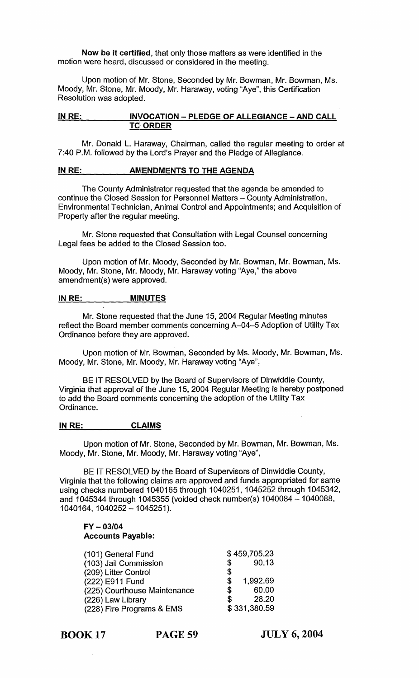Now be it certified, that only those matters as were identified in the motion were heard, discussed or considered in the meeting.

Upon motion of Mr. Stone, Seconded by Mr. Bowman, Mr. Bowman, Ms. Moody, Mr. Stone, Mr. Moody, Mr. Haraway, voting "Aye", this Certification Resolution was adopted.

# IN RE: INVOCATION - PLEDGE OF ALLEGIANCE - AND CALL **TO ORDER**

Mr. Donald L. Haraway, Chairman, called the regular meeting to order at 7:40 P.M. followed by the Lord's Prayer and the Pledge of Allegiance.

# IN RE: AMENDMENTS TO THE AGENDA

The County Administrator requested that the agenda be amended to continue the Closed Session for Personnel Matters - County Administration, Environmental Technician, Animal Control and Appointments; and Acquisition of Property after the regular meeting.

Mr. Stone requested that Consultation with Legal Counsel concerning Legal fees be added to the Closed Session too.

Upon motion of Mr. Moody, Seconded by Mr. Bowman, Mr. Bowman, Ms. Moody, Mr. Stone, Mr. Moody, Mr. Haraway voting "Aye," the above amendment(s) were approved.

# IN RE: MINUTES

Mr. Stone requested that the June 15, 2004 Regular Meeting minutes reflect the Board member comments concerning A-04-5 Adoption of Utility Tax Ordinance before they are approved.

Upon motion of Mr. Bowman, Seconded by Ms. Moody, Mr. Bowman, Ms. Moody, Mr. Stone, Mr. Moody, Mr. Haraway voting "Aye",

BE IT RESOLVED by the Board of Supervisors of Dinwiddie County, Virginia that approval of the June 15, 2004 Regular Meeting is hereby postponed to add the Board comments concerning the adoption of the Utility Tax Ordinance.

# IN RE: CLAIMS

Upon motion of Mr. Stone, Seconded by Mr. Bowman, Mr. Bowman, Ms. Moody, Mr. Stone, Mr. Moody, Mr. Haraway voting "Aye",

BE IT RESOLVED by the Board of Supervisors of Dinwiddie County, Virginia that the following claims are approved and funds appropriated for same using checks numbered 1040165 through 1040251, 1045252 through 1045342, and 1045344 through 1045355 (voided check number(s) 1040084 - 1040088, 1040164,1040252 -1045251).

# FY - *03/04*  **Accounts Payable:**

| (101) General Fund           |    | \$459,705.23 |
|------------------------------|----|--------------|
| (103) Jail Commission        | \$ | 90.13        |
| (209) Litter Control         | \$ |              |
| (222) E911 Fund              | \$ | 1.992.69     |
| (225) Courthouse Maintenance | \$ | 60.00        |
| (226) Law Library            | S  | 28.20        |
| (228) Fire Programs & EMS    |    | \$331,380.59 |

BOOK 17 PAGE 59

JULY 6, 2004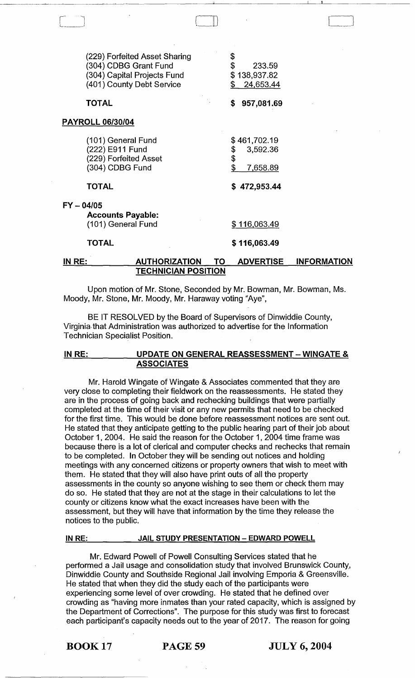| (229) Forfeited Asset Sharing<br>(304) CDBG Grant Fund<br>(304) Capital Projects Fund<br>(401) County Debt Service | \$<br>\$<br>233.59<br>\$138,937.82<br>24,653.44<br>S.  |
|--------------------------------------------------------------------------------------------------------------------|--------------------------------------------------------|
| <b>TOTAL</b>                                                                                                       | \$<br>957,081.69                                       |
| <b>PAYROLL 06/30/04</b>                                                                                            |                                                        |
| (101) General Fund<br>(222) E911 Fund<br>(229) Forfeited Asset<br>(304) CDBG Fund                                  | \$461,702.19<br>\$<br>3,592.36<br>\$<br>\$<br>7,658.89 |
| <b>TOTAL</b>                                                                                                       | 472,953.44<br>S                                        |
| FY-04/05<br><b>Accounts Payable:</b><br>(101) General Fund                                                         | \$116,063.49                                           |
| TOTAL                                                                                                              | \$116,063.49                                           |
|                                                                                                                    |                                                        |

# IN RE: AUTHORIZATION TO ADVERTISE INFORMATION TECHNICIAN POSITION

 $\begin{tabular}{|c|c|c|c|c|} \hline \quad \quad & \quad \quad & \quad \quad \\ \hline \quad \quad & \quad \quad & \quad \quad \\ \hline \quad \quad & \quad \quad & \quad \quad \\ \hline \quad \quad & \quad \quad & \quad \quad \\ \hline \quad \quad & \quad \quad & \quad \quad \\ \hline \quad \quad & \quad \quad & \quad \quad \\ \hline \quad \quad & \quad \quad & \quad \quad \\ \hline \quad \quad & \quad \quad & \quad \quad \\ \hline \quad \quad & \quad \quad & \quad \quad \\ \hline \quad \quad & \quad \quad & \quad \quad \\ \hline \quad \quad & \quad \quad & \quad \quad \\ \hline \$ 

 $\Box$ 

Upon motion of Mr. Stone, Seconded by Mr. Bowman, Mr. Bowman, Ms. Moody, Mr. Stone, Mr. Moody, Mr. Haraway voting "Aye",

BE IT RESOLVED by the Board of Supervisors of Dinwiddie County, Virginia,that Administration was authorized to advertise for the Information Technician Specialist Position.

# IN RE: UPDATE ON GENERAL REASSESSMENT - WINGATE & **ASSOCIATES**

Mr. Harold Wingate of Wingate & Associates commented that they are very close to completing their fieldwork on the reassessments. He stated they are in the process of going back and rechecking buildings that were partially completed at the time of their visit or any new permits that need to be checked for the first time. This would be done before reassessment notices are sent out. He stated that they anticipate getting to the public hearing part of their job about October 1, 2004. He said the reason for the October 1, 2004 time frame was because there is a lot of clerical and computer checks and rechecks that remain to be completed. In October they will be sending out notices and holding meetings with any concerned citizens or property owners that wish to meet with them. He stated that they will also have print outs of all the property assessments in the county so anyone wishing to see them or check them may do so. He stated that they are not at the stage in their calculations to let the county or citizens know what the exact increases have been with the assessment, but they will have that information by the time they release the notices to the public.

### IN RE: JAIL STUDY PRESENTATION - EDWARD POWELL

Mr. Edward Powell of Powell Consulting Services stated that he performed a Jail usage and consolidation study that involved Brunswick County, Dinwiddie County and Southside Regional Jail involving Emporia & Greensville. He stated that when they did the study each of the participants were experiencing some level of over crowding. He stated that he defined over crowding as "having more inmates than your rated capacity, which is assigned by the Department of Corrections". The purpose for this study was first to forecast each participant's capacity needs out to the year of 2017. The reason for going

BOOK 17 PAGE 59 JULY 6, 2004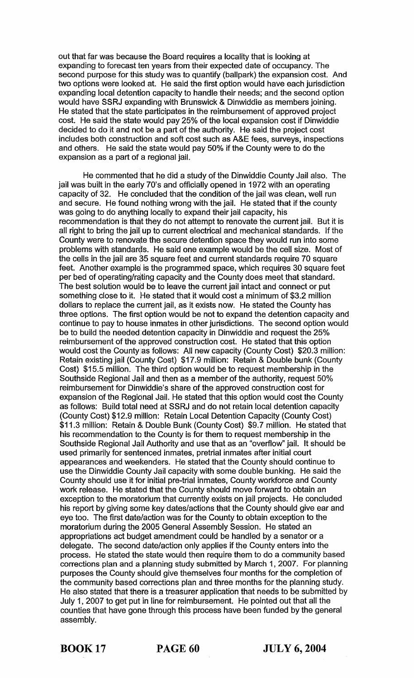out that far was because the Board requires a locality that is looking at expanding to forecast ten years from their expected date of occupancy. The second purpose for this study was to quantify (ballpark) the expansion cost. And two options were looked at. He said the first option would have each jurisdiction expanding local detention capacity to handle their needs; and the second option would have SSRJ expanding with Brunswick & Dinwiddie as members joining. He stated that the state participates in the reimbursement of approved project cost. He said the state would pay 25% of the local expansion cost if Dinwiddie decided to do it and not be a part of the authority. He said the project cost includes both construction and soft cost such as A&E fees, surveys, inspections and others. He said the state would pay 50% if the County were to do the expansion as a part of a regional jail.

He commented that he did a study of the Dinwiddie County Jail also. The jail was built in the early 70's and officially opened in 1972 with an operating capacity of 32. He concluded that the condition of the jail was clean, well run and secure. He found nothing wrong with the jail. He stated that if the county was going to do anything locally to expand their jail capacity, his recommendation is that they do not attempt to renovate the current jail. But it is all right to bring the jail up to current electrical and mechanical standards. If the County were to renovate the secure detention space they would run into some problems with standards. He said one example would be the cell size. Most of the cells in the jail are 35 square feet and current standards require 70 square feet. Another example is the programmed space, which requires 30 square feet per bed of operating/rating capacity and the County does meet that standard. The best solution would be to leave the current jail intact and connect or put something close to it. He stated that it would cost a minimum of \$3.2 million dollars to replace the current jail, as it exists now. He stated the County has three options. The first option would be not to expand the detention capacity and continue to pay to house inmates in other jurisdictions. The second option would be to build the needed detention capacity in Dinwiddie and request the 25% reimbursement of the approved construction cost. He stated that this option would cost the County as follows: All new capacity (County Cost) \$20.3 million: Retain existing jail (County Cost) \$17.9 million: Retain & Double bunk (County Cost) \$15.5 million. The third option would be to request membership in the Southside Regional Jail and then as a member of the authority, request 50% reimbursement for Dinyviddie's share of the approved construction cost for expansion of the Regional Jail. He stated that this option would cost the County as follows: Build total need at SSRJ and do not retain local detention capacity (County Cost) \$12.9 million: Retain Local Detention Capacity (County Cost) \$11.3 million: Retain & Double Bunk (County Cost) \$9.7 million. He stated that his recommendation to the County is for them to request membership in the Southside Regional Jail Authority and use that as an "overflow" jail. It should be used primarily for sentenced inmates, pretrial inmates after initial court appearances and weekenders. He stated that the County should continue to use the Dinwiddie County Jail capacity with some double bunking. He said the County should use it for initial pre-trial inmates, County workforce and County work release. He stated that the County should move forward to obtain an exception to the moratorium that currently exists on jail projects. He concluded his report by giving some key dates/actions that the County should give ear and eye too. The first date/action was for the County to obtain exception to the moratorium during the 2005 General Assembly Session. He stated an appropriations act budget amendment could be handled by a senator or a delegate. The second date/action only applies if the County enters into the process. He stated the state would then require them to do a community based corrections plan and a planning study submitted by March 1,2007. For planning purposes the County should give themselves four months for the completion of the community based corrections plan and three months for the planning study. He also stated that there is a treasurer application that needs to be submitted by July 1, 2007 to get put in line for reimbursement. He pointed out that all the counties that have gone through this process have been funded by the general assembly.

BOOK 17 PAGE 60 JULY 6, 2004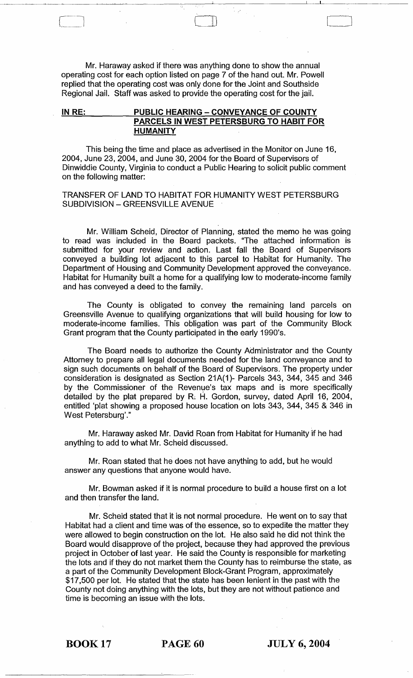Mr. Haraway asked if there was anything done to show the annual operating cost for each option listed on page 7 of the hand out. Mr. Powell replied that the operating cost was only done for the Joint and Southside Regional Jail. Staff was asked to provide the operating cost for the jail.

 $\begin{pmatrix} 1 \\ -1 \end{pmatrix}$ 

 $\boxed{\phantom{1}}$ 

# IN RE: PUBLIC HEARING - CONVEYANCE OF COUNTY PARCELS IN WEST PETERSBURG TO HABIT FOR .HUMANITY

This being the time and place as advertised in the Monitor on June 16, 2004, June 23, 2004, and June 30, 2004 for the Board of Supervisors of Dinwiddie County, Virginia to conduct a Public Hearing to solicit public comment on the following matter:

# TRANSFER OF LAND TO HABITAT FOR HUMANITY WEST PETERSBURG SUBDIVISION - GREENSVILLE AVENUE

Mr. William Scheid, Director of Planning, stated the memo he was going to read was included in the Board packets. "The attached information is submitted for your review and action. Last fall the Board of Supervisors conveyed a building lot adjacent to this parcel to Habitat for Humanity. The Department of Housing and Community Development approved the conveyance. Habitat for Humanity built a home for a qualifying low to moderate-income family and has conveyed a deed to the family.

The County is obligated to convey the remaining land parcels on Greensville Avenue to qualifying organizations that will build housing for low to moderate-income families. This obligation was part of the Community Block Grant program that the County participated in the early 1990's.

The Board needs to authorize the County Administrator and the County Attorney to prepare all legal documents needed for the land conveyance and to sign such documents on behalf of the Board of Supervisors. The property under consideration is designated as Section 21A(1)- Parcels 343, 344, 345 and 346 by the Commissioner of the Revenue's tax maps and is more specifically detailed by the plat prepared by R. H. Gordon, survey, dated April 16, 2004, entitled 'plat showing a proposed house location on lots 343, 344, 345 & 346 in West Petersburg'."

Mr. Haraway asked Mr. David Roan from Habitat for Humanity if he had anything to add to what Mr. Scheid discussed.

Mr. Roan stated that he does not have anything to add, but he would answer any questions that anyone would have.

Mr. Bowman asked if it is normal procedure to build a house first on a lot and then transfer the land.

Mr. Scheid stated that it is not normal procedure. He went on to say that Habitat had a client and time was of the essence, so to expedite the matter they were allowed to begin construction on the lot. He also said he did not think the Board would disapprove of the project, because they had approved the previous project in October of last year. He said the County is responsible for marketing the lots and if they do not market them the County has to reimburse the state, as a part of the Community Development Block-Grant Program, approximately \$17,500 per lot. He stated that the state has been lenient in the past with the County not doing anything with the lots, but they are not without patience and time is becoming an issue with the lots.

BOOK 17 PAGE 60 JULY 6, 2004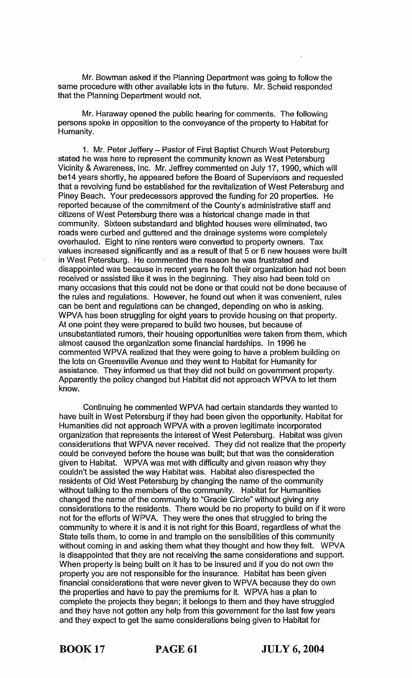Mr. Bowman asked if the Planning Department was going to follow the same procedure with other available lots in the future. Mr. Scheid responded that the Planning Department would not.

Mr. Haraway opened the public hearing for comments. The following persons spoke in opposition to the conveyance of the property to Habitat for Humanity.

1. Mr. Peter Jeffery - Pastor of First Baptist Church West Petersburg stated he was here to represent the community known as West Petersburg Vicinity & Awareness, Inc. Mr. Jeffrey commented on July 17,1990, which will be14 years shortly, he appeared before the Board of Supervisors and requested that a revolving fund be established for the revitalization of West Petersburg and Piney Beach. Your predecessors approved the funding for 20 properties. He reported because of the commitment of the County's administrative staff and citizens of West Petersburg there was a historical change made in that community. Sixteen sllbstandard and blighted houses were eliminated, two roads were curbed and guttered and the drainage systems were completely overhauled. Eight to nine renters were converted to property owners. Tax values increased significantly and as a result of that 5 or 6 new houses were built in West Petersburg. He commented the reason he was frustrated and disappointed was because in recent years he felt their organization had not been received or assisted like it was in the beginning. They also had been told on many occasions that this could not be done or that could not be done because of the rules and regulations. However, he found out when it was convenient, rules can be bent and regulations can be changed, depending on who is asking. WPVA has been struggling for eight years to provide housing on that property. At one point they were prepared to build two houses, but because of unsubstantiated rumors, their housing opportunities were taken from them, which almost caused the organization some financial hardships. In 1996 he commented WPVA realized that they were going to have a problem building on the lots on Greensville Avenue and they went to Habitat for Humanity for assistance. They informed us that they did not build on government property. Apparently the policy changed but Habitat did not approach WPVA to let them know.

Continuing he commented WPVA had certain standards they wanted to have built in West Petersburg if they had been given the opportunity. Habitat for Humanities did not approach WPVA with a proven legitimate incorporated organization that represents the interest of West Petersburg. Habitat was given considerations that WFVA never received. They did not realize that the property could be conveyed before the house was built; but that was the consideration given to Habitat. WPVA was met with difficulty and given reason why they couldn't be assisted the way Habitat was. Habitat also disrespected the residents of Old West Petersburg by changing the name of the community without talking to the members of the community. Habitat for Humanities changed the name of the community to "Gracie Circle" without giving any considerations to the residents. There would be no property to build on if it were not for the efforts of WPVA. They were the ones that struggled to bring the community to where it is and it is not right for this Board, regardless of what the State tells them, to come in and trample on the sensibilities of this community without coming in and asking them what they thought and how they felt. WPVA is disappointed that they are not receiving the same considerations and support. When property is being built on it has to be insured and if you do not own the property you are not responsible for the insurance. Habitat has been given financial considerations that were never given to WPVA because they do own the properties and have to pay the premiums for it. WPVA has a plan to complete the projects they began; it belongs to them and they have struggled and they have not gotten any help from this government for the last few years and they expect to get the same considerations being given to Habitat for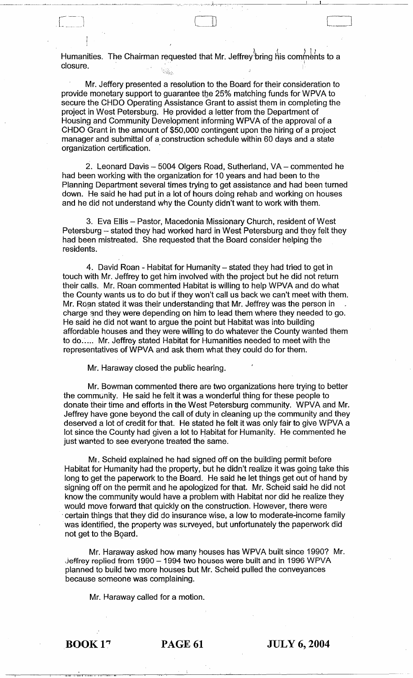Humanities. The Chairman requested that Mr. Jeffrey<sup>®</sup>bring his comments to a<br>closure. **closure.** I also a series of the series of the series of the series of the series of the series of the series of the series of the series of the series of the series of the series of the series of the series of the series

 $\overline{a}$ .  $\lfloor \ \ \rfloor$ 

> Mr. Jeffery presented a resolution to the Board for their consideration to provide monetary support to guarantee the 25% matching funds for WPVA to secure the CHDO Operating Assistance Grant to assist them in completing the project in West Petersburg. He provided a letter from the Department of Housing and Community Development informing WPVA of the approval of a CHDO Grant in the amount of \$50,000 contingent upon the hiring of a project manager and submittal of a construction schedule within 60 days and a state organization certification. .

2. Leonard Davis - 5004 Olgers Road, Sutherland, VA - commented he had been working with the organization for 10 years and had been to the Planning Department several times trying to get assistance and had been turned down. He said he had put in a lot of hours doing rehab and working on houses and he did not understand why the County didn't want to work with them.

3. Eva Ellis - Pastor, Macedonia Missionary Church, resident of West Petersburg - stated they had worked hard in West Petersburg and they felt they had been mistreated. She requested that the Board consider helping the residents.

4. David Roan - Habitat for Humanity - stated they had tried to get in touch with Mr. Jeffrey to get him involved with the project but he did not return their calls. Mr. Roan commented Habitat is willing to help WPVA and do what the County wants us to do but if they won't call us back we can't meet with them. Mr. Roan stated it was their understanding that Mr. Jeffrey was the person in charge and they were depending on him to lead them where they needed to go. He said he did not want to argue the point but Habitat was into building affordable houses and they were willing to do whatever the County wanted them to do. ..... Mr. Jeffrey stated Habitat for Humanities needed to meet with the representatives of WPVA and ask them what they could do for them.

Mr. Haraway closed the public hearing.

Mr. Bowman commented there are two organizations here trying to better the community. He said he felt it was a wonderful thing for these people to donate their time and efforts in the West Petersburg community. WPVA and Mr. Jeffrey have gone beyond the call of duty in cleaning up the community and they deserved a lot of credit for that. He stated he felt it was only fair to give WPVA a lot since the County had given a lot to Habitat for Humanity. He commented he just wanted to see everyone treated the same.

Mr. Scheid explained he had signed off on the building permit before Habitat for Humanity had the property, but he didn't realize it was going take this long to get the paperwork to the Board. He said he let things get out of hand by signing off on the permit and he apologized for that. Mr. Scheid said he did not know the community would have a problem with Habitat nor did he realize they would move forward that quickly on the construction. However, there were . certain things that they did do insurance wise, a low to moderate-income family was identified, the property was surveyed, but unfortunately the paperwork did not get to the Board.

Mr. Haraway asked how many houses has WPVA built since 1990? Mr. Jeffrey replied from 1990 - 1994 two houses were built and in 1996 WPVA planned to build two more houses but Mr. Scheid pulled the conveyances because someone was complaining.

Mr. Haraway called for a motion.

in'ny fivondronan-kaominin'i Castro ao amin'ny faritr'i Nord-Amerika amin'ny faritr'i Nord-Amerika amin'ny faritr'i Nord-Amerika ao Frantsa.<br>Ny INSEE dia mampiasa ny kaodim-paositra 2008–2014. Ilay kaominina dia kaominina

**BOOK 17 PAGE 61 JULY 6, 2004**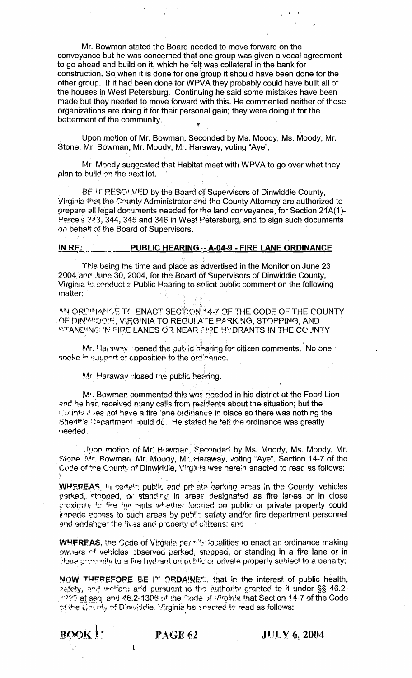Mr. Bowman stated the Board needed to move forward on the conveyance but he was concerned that one group was given a vocal agreement to go ahead and build on it, which he felt was collateral in the bank for construction. So when it is done for one group it should have been done for the other group. If it had been done for WPVA they probably could have built all of the houses in West Petersburg. Continuing he said some mistakes have been made but they needed to move forward with this. He commented neither of these organizations are doing it for their personal gain; they were doing it for the betterment of the community.

Upon motion of Mr. Bowman, Seconded by Ms. Moody, Ms. Moody, Mr. Stone, Mr. Bowman, Mr. Moody, Mr. Haraway, voting "Aye",

 $~\cdot$ 

Mr. Moody suggested that Habitat meet with WPVA to go over what they plan to build on the next lot.

BE IF RESOLVED by the Board of Supervisors of Dinwiddie County, Virginia that the County Administrator and the County Attorney are authorized to prepare all legal documents needed for the land conveyance, for Section 21A(1)-Parcels  $343, 344, 345$  and 346 in West Petersburg, and to sign such documents on behalf of the Board of Supervisors.

# **IN RE: . . \_\_\_\_\_ PUBLIC HEARING - A-04-9 - FIRE LANE ORDINANCE**

This being the time and place as advertised in the Monitor on June 23, 2004 and June 30, 2004, for the Board of Supervisors of Dinwiddie County, Virginia to conduct a Public Hearing to solicit public comment on the following matter: h gi

 $i$  :  $\frac{1}{2}$ AN ORPINANCE TO ENACT SECT;(ON 14-7 OF THE CODE OF THE COUNTY) OF DINWIDOF, VIRGINIA TO REGULA'TE PARKING, STOPPING, AND  $\le$ TANDING IN FIRE LANES OR NEAR (!) RE HYDRANTS IN THE CCUNTY

Mr. Haraway peened the public hearing for citizen comments. No one  $\cdot$ spoke in support or apposition to the ordinance.

 $Mr$  Haraway closed the public hearing.

Mr. Bowman commented this was needed in his district at the Food Lion and he had received many calls from residents about the situation; but the To inty J les not have a fire 'ane ordinance in place so there was nothing the Sheriff's Department could do. He stated he felt the ordinance was greatly  $\cdot$ )eeded.

U::on motion of Mr. B iwman, Seconderl by Ms. Moody, Ms. Moody, Mr. Siene, Mr. Rowmari. Mr. Moody, Mr. Haraway, voting "Aye", Section 14-7 of the Code of the County of Dinwiddie, Virginia was herein enacted to read as follows:  $\mathbf{J}^{\prime}$  . The set of the set of the set of the set of the set of the set of the set of the set of the set of the set of the set of the set of the set of the set of the set of the set of the set of the set of the set

WHEREAS, in certain public and private barking areas in the County vehicles parked, stopped, or standing in areas designated as fire lanes or in close. ~'{)(imiW tc +;"'3 *1yr* -9'nts wl-:,ethe: !oon-ed on public or private property could it mede access to such areas by public safaty and/or fire department personnel and endancer the 'ives and property of diffrens; and

WHEREAS, the Sode of Virginia permits localities to enact an ordinance making owhers of vehicles observed parked, stopped, or standing in a fire lane or in diose provinity to a fire hydrant on public or orivate property subject to a penalty;

NOW THEREFORE BE IT ORDAINES, that in the interest of public health, safety, and welfare and pursuant to the authority granted to it under §§ 46.2-(1990) et seq. and 46.2-1306 of the Code of Virginia that Section 14-7 of the Code of the Gounty of Dinviddie. Yirginie be shacred to read as follows:

l

 $\overline{B}$ OQK $\overline{1}$  **PAGE 62** J1JL Y 6, 2004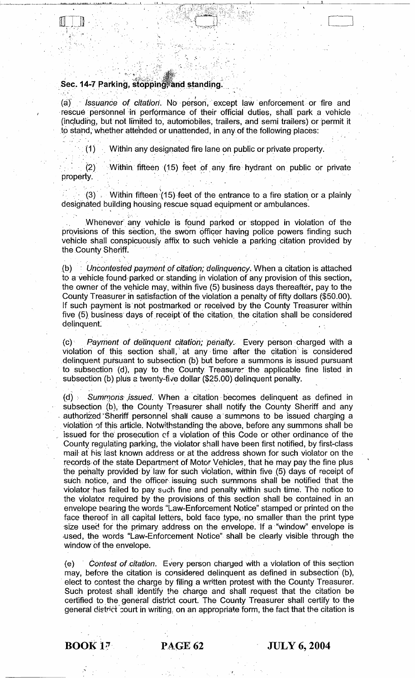# $\bf{Sec.~14-7~Parking,~stoppin}$

 $\sim$   $\sim$   $\sim$ 

, '' and '' and '' and '' and '' and '' and '' and '' and '' and '' and '' and '' and '' and '' and '

," .,

(a) Issuance of citation. No person, except law enforcement or fire and rescue personnel in performance of their official duties, shall park a vehicle (including, but not limited to, automobiles, trailers, and semi trailers) or permit it to stand, whether attended or unattended, in any of the following places: Sec. 14-7 Parking, stopping and standing.<br>
Sec. 14-7 Parking, stopping and standing.<br>
Secure personnel in performance of their official duties, shall park a vehicle<br>
including, but not limited to, automobiles, trailers, an

 $\mathcal{O}(t^2)$ 

,  $\mathcal{G}^{\mathcal{G}}$  ,  $\mathcal{G}^{\mathcal{G}}_{\mathcal{G}}$  ,  $\mathcal{G}^{\mathcal{G}}_{\mathcal{G}}$  ,  $\mathcal{G}^{\mathcal{G}}_{\mathcal{G}}$  ,  $\mathcal{G}^{\mathcal{G}}_{\mathcal{G}}$  ,  $\mathcal{G}^{\mathcal{G}}_{\mathcal{G}}$  ,  $\mathcal{G}^{\mathcal{G}}_{\mathcal{G}}$  ,  $\mathcal{G}^{\mathcal{G}}_{\mathcal{G}}$  ,  $\mathcal{G}^{\mathcal{G}}_{\mathcal{G}}$  , , if  $\mathcal{L} = \mathcal{L} \mathcal{L}$  , where  $\mathcal{L} = \mathcal{L} \mathcal{L}$ 

 $(1)$  Within any designated fire lane on public or private property.

 $(2)$  Within fifteen (15) feet of any fire hydrant on public or private property.

porty.<br>(3) . Within fifteen (15) feet of the entrance to a fire station or a plainly designated building housing rescue squad equipment or ambulances.

Whenever any vehicle is found parked or stopped in violation of the provisions of this section, the sworn officer having police powers finding such vehicle shall conspicuously affix to such vehicle a parking citation provided by the County Sheriff.

.(b) "Uncontested payment of citation; delinquency. When a citation is attached to a vehicle found parked or standing in violation of any provision of this section, the owner of the vehicle may, within five (5) business days thereafter, pay to the County Treasurer in satisfaction of the violation a pe the owner of the vehicle may, within five (5) business days thereafter, pay to the County Treasurer in satisfaction of the violation a penalty of fifty dollars (\$50.00). If such payment is not postmarked or received by the County Treasurer within five (5) business days of receipt of the citation, the citation shall be considered delinquent.

(c), Payment of delinquent Citation; penalty. Every person charged with a violation of this section shall, at any time after the citation is considered delinquent pursuant to subsection (b) but before a summons is issued pursuant to subsection (d), pay to the County Treasure. the applicable fine listed in subsection (b) plus a twenty-five dollar (\$25.00) delinquent penalty.

 $(d)$  Summons issued. When a citation becomes delinquent as defined in subsection (b), the County Treasurer shall notify the County Sheriff and any authorized Sheriff personnel shall cause a summons to be issued charging a violation of this article. Notwithstanding the above, before any summons shall be issued for the prosecution of a violation of this Code or other ordinance of the County regulating parking, the violator shall have been first notified, by first-class mail at his last known address or at the address shown for such violator on the records of the state Department of Motor Vehicles, that he may pay the fine plus the pehalty provided' by'law for such violation, within five (5) days of receipt of such notice, and the officer issuing such summons shall be notified that the violator;has failed to pay such fine and penalty within such time'. The notice to the violator required by the provisions, of this section shall be contained in an envelope bearing the words "Law-Enforcement Notice" stamped or printed on the face thereof in all capital letters, bold face type, no smaller than the print type size used for the primary address on the envelope. If a "window" envelope is ·used, the words "Law-Enforcement Notice" shall be clearly visible through the window of the envelope.

(e) Contest of citation. Every person charged with a violation of this section may, before the citation is considered delinquent as defined in subsection (b), elect to contest the charge by filing a written protest with the County Treasurer. Such protest shall identify the charge and shall request that the citation be certified to the general district court. The County Treasurer shall certify to the general district court in writing, on an appropriate form, the fact that the citation is

# **BOOK 17 PAGE 62 JULY 6, 2004**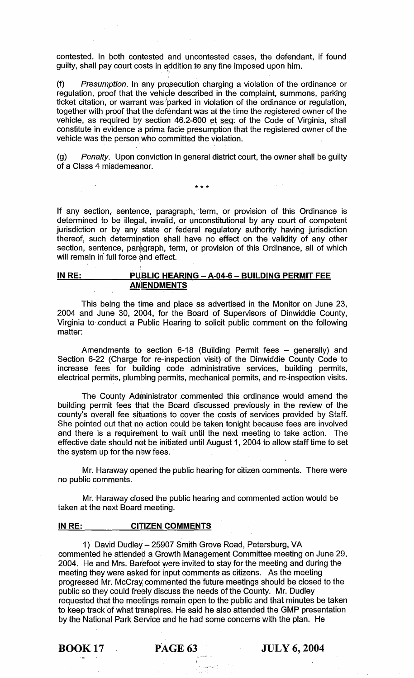contested. In both contested and uncontested cases, the defendant, if found guilty, shall pay court costs in addition to any fine imposed upon him.

I (f) Presumption. In any prqsecution charging a violation of the ordinance or regulation, proof that the vehicle described in the complaint, summons, parking ticket citation, or warrant was parked in violation of the ordinance or regulation, together with proof that the defendant was at the time the registered owner of the vehicle, as required by section 46.2-600 et seq: of the Code of Virginia, shall constitute in evidence a prima facie presumption that the registered owner of the vehicle was the person who committed the violation.

(g) Penalty. Upon conviction in general district court, the owner shall be guilty of a Class 4 misdemeanor.

\*\*\*

If any section, sentence, paragraph, term, or provision of this Ordinance is determined to be illegal, invalid, or unconstitutional by any court of competent jurisdiction or by any state or federal regulatory authority having jurisdiction thereof, such determirlation shall have no effect on the validity of any other section, sentence, paragraph, term, or provision of this Ordinance, all of which will remain in full force and effect.

# **IN RE: PUBLIC HEARING - A-04-6 - BUILDING PERMIT FEE ANIENDMENTS**

This being the time and place as advertised in the Monitor on June 23, 2004 and June 30, 2004, for the Board of Supervisors of Dinwiddie County, Virginia to conduct a Public Hearing to solicit public comment on the following matter:

Amendments to section 6-18 (Building Permit fees  $-$  generally) and Section 6-22 (Charge for re-inspection visit)· of the Dinwiddie County Code to increase· fees for building code administrative services, building permits, electrical permits, plumbing permits, mechanical permits, and re-inspection visits.

The County Administrator commented this ordinance would amend the building permit fees that the Board discussed previously in the review of the county's overall fee situations to cover the costs of services provided by Staff. She pointed out that no action could be taken tonight because fees are involved and there is a requirement to wait until the next meeting to take action. The effective date should not be initiated until August 1, 2004 to allow staff time to set the system up for the new fees.

Mr. Haraway opened the public hearing for citizen comments. There were no public comments.

Mr. Haraway closed the public hearing and commented action would be taken at the next Board meeting.

# **IN RE: CITIZEN COMMENTS**

1) David Dudley-25907 Smith Grove Road, Petersburg, VA commented he attended a Growth Management Committee meeting on June 29, 2004. He and Mrs. Barefoot were invited to stay for the meeting and during the meeting they were asked for input comments as citizens. As the meeting progressed Mr. McCray commented the future meetings should be closed to the public so they could freely discuss the needs of the County. Mr. Dudley requested that the meetings remain open to the public and that minutes be taken to keep track of what transpires. He said he also attended the GMP presentation by the National Park Service and he had some concerns with the plan. He

 $\sim$  15  $^{11}$  and

BOOK 17 pAGE 63 **JULY 6, 2004**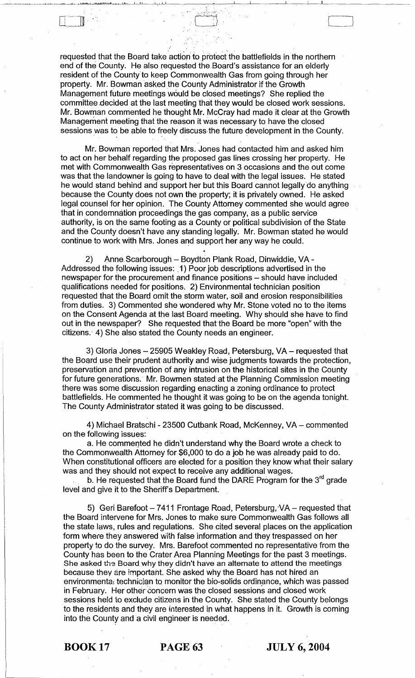requested that the Board take action to protect the battlefields in the northern end of the County. He also requested the Board's assistance for an elderly resident of the County to keep Commonwealth Gas from going through her property. Mr. Bowman asked the County Administrator if the Growth Management future meetings would be closed meetings? She replied the committee decided at the last meeting that they would be closed work sessions. Mr. Bowman commented he thought Mr. McCray had made it clear at the Growth Management meeting that the reason it was necessary to have the closed Management future meetings would be closed meetings? She replied the committee decided at the last meeting that they would be closed work sessions.<br>Mr. Bowman commented he thought Mr. McCray had made it clear at the Growt<br>

-- (-'::;~~ LJ

Mr. Bowman reported that Mrs. Jones had contacted him and asked him to act on her behalf regarding the proposed gas lines crossing her property. He met with Commonwealth Gas representatives on 3 occasions and the out come was that the landowner is going to have to deal with the legal issues. He stated he would stand behind and support her but this Board cannot legally do anything because the County does not own the property; it is privately owned. He asked legal counsel for her opinion. The County Attorney commented she would agree that in condemnation proceedings the gas company, as a public service authority, is on the same footing as a County or political subdivision of the State and the County doesn't have any standing legally. Mr. Bowman stated he would continue to work with Mrs. Jones and support her any way he could.

2) Anne Scarborough - Boydton Plank Road, Dinwiddie, VA -Addressed the following issues: ,1) Poor job descriptions advertised in the newspaper for the procurement and finance positions - should have included qualifications needed for positions. 2) Environmental technician position requested that the Board omit the storm water, soil and erosion responsibilities from duties. 3) Commented she wondered why Mr. Stone voted no to the items on the Consent Agenda at the last Board meeting. Why should she have to find out in the newspaper? She requested that the Board be more "open" with the citizens.' 4) She also stated the County needs an engineer.

3) Gloria Jones  $-25905$  Weakley Road, Petersburg, VA  $-$  requested that the Board use their prudent authority and wise judgments towards the protection, preservation and prevention of any intrusion on the historical sites in the County for future generations. Mr. Bowmen stated at the Planning Commission meeting there was some discussion regarding enacting a zoning ordinance to protect battlefields. He commented he thought it was going to be on the agenda tonight. The County Administrator stated it was going to be discussed.

4) Michael Bratschi - 23500 Cutbank Road, McKenney, VA - commented on the following issues:

a. He commented he didn't understand why the Board wrote a check to the Commonwealth Attorney for \$6,000 to do a job he was already paid to do. When constitutional officers are elected for a position they know what their salary was and they should not expect to receive any additional wages.

b. He requested that the Board fund the DARE Program for the  $3<sup>rd</sup>$  grade level and give it to the Sheriff's Department.

5) Geri Barefoot  $-7411$  Frontage Road, Petersburg,  $VA$  – requested that the Board intervene for Mrs. Jones to make sure Commonwealth Gas follows all the state laws, rules and regulations. She cited several places on the application form where they answered with false information and they trespassed on her property to do the survey. Mrs. Barefoot commented no representative from the County has been to the Crater Area Planning Meetings for the past 3 meetings. She asked the Board why they didn't have an alternate to attend the meetings because they are important. She asked why the Board has not hired an environmenta: technician to monitor the bio-solids ordinance, which was passed in February. Her other concern was the closed sessions and closed work sessions held to exclude citizens in the County. She stated the County belongs to the residents and they are interested in what happens in it. Growth is coming into the County and a civil engineer is needed.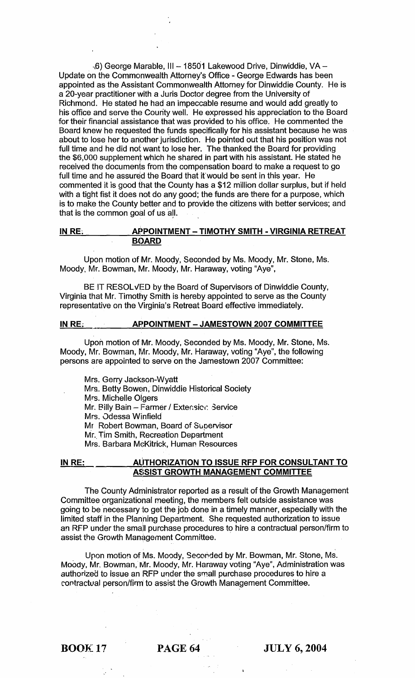-6) George Marable, III - 18501 Lakewood Drive, Dinwiddie, VA -Update on the Commonwealth Attorney's Office - George Edwards has been appointed as the Assistant Commonwealth Attorney for Dinwiddie County. He is a 20-year practitioner with a Juris Doctor degree from the University of Richmond. He stated he had an impeccable resume and would add greatly to his office and serve the County well. He expressed his appreciation to the Board for their financial assistance that was provided to his office. He commented the Board knew he requested the funds specifically for his assistant because he was about to lose her to another jurisdiction. He pointed out that his position was not full time and he did not want to lose her. The thanked the Board for providing the \$6,000 supplement which he shared in part with his assistant. He stated he received the documents from the compensation board to make a request to go full time and he assured the Board that if would be sent in this year. He commented it is good that the County has a \$12 million dollar surplus, but if held with a tight fist it does not do any good; the funds are there for a purpose, which is to make the County better and to provide the citizens with better services; and that is the common goal of us all.

# IN RE: APPOINTMENT - TIMOTHY SMITH - VIRGINIA RETREAT **BOARD**

Upon motion of Mr. Mooqy, Seconded by Ms. Moody, Mr. Stone, Ms. Moody, Mr. Bowman, Mr. Moody, Mr. Haraway, voting "Aye",

BE IT RESOLVED by the Board of Supervisors of Dinwiddie County, Virginia that Mr. Timothy Smith is hereby appointed to serve as the County representative on the Virginia's Retreat Board effective immediately.

# IN RE: AFPOINTMENT - JAMESTOWN 2007 COMMITTEE

Upon motion of Mr. Moody, Seconded by Ms. Moody, Mr. Stone, Ms. Moody, Mr. Bowman, Mr. Moody, Mr. Haraway, voting "Aye", the following persons are appointed'to serve on the Jamestown 2007 Committee:

Mrs. Gerry Jackson-Wyatt Mrs. Betty Bowen, Dinwiddie Historical Society Mrs. Michelle Olgers Mr. Billy Bain - Farmer / Extension Service Mrs. Odessa Winfield Mr Robert Bowman, Board of Suoervisor Mr. Tim Smith, Recreation Department Mrs. Barbara McKitrick, Human Resources

### IN RE: AUTHORIZATION TO ISSUE RFP FOR CONSULTANT TO . A\$SIST GROWTH MANAGEMENT COMMITTEE

The County Administrator reported as a result of the Growth Management Committee organizational meeting, the members felt outside assistance was going to be necessary to get the job done in a timely manner, especially with the limited staff in the Planning Department. She requested authorization to issue an RFP under the small purchase procedures to hire a contractual person/firm to assist the Growth Management Committee.

Upon motion of Ms. Moody, Secorided by Mr. Bowman, Mr. Stone, Ms. Moody, Mr. Bowman, Mr. Moody, Mr. Haraway voting "Aye", Administration was authorized to issue an RFP under the small purchase procedures to hire a contractual person/firm to assist the Growth Management Committee.

BOOK 17 PAGE 64 JULY 6, 2004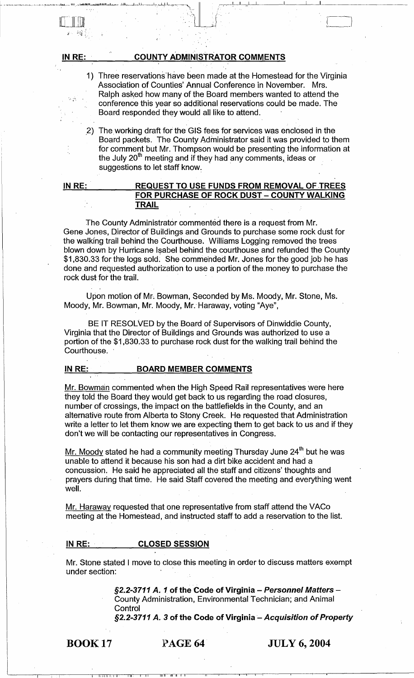| $\mathbf{y}^{\prime}$ , $\mathbf{y}^{\prime}$ |                                                                                                                                                                                                                                                                                                                                  |
|-----------------------------------------------|----------------------------------------------------------------------------------------------------------------------------------------------------------------------------------------------------------------------------------------------------------------------------------------------------------------------------------|
| IN RE:                                        | <b>COUNTY ADMINISTRATOR COMMENTS</b>                                                                                                                                                                                                                                                                                             |
|                                               | 1) Three reservations have been made at the Homestead for the Virginia<br>Association of Counties' Annual Conference in November. Mrs.<br>Ralph asked how many of the Board members wanted to attend the<br>conference this year so additional reservations could be made. The<br>Board responded they would all like to attend. |
| 2)                                            | The working draft for the GIS fees for services was enclosed in the<br>Board packets. The County Administrator said it was provided to them<br>for comment but Mr. Thompson would be presenting the information at<br>the July 20 <sup>th</sup> meeting and if they had any comments, ideas or<br>suggestions to let staff know. |
| IN RE:                                        | <b>REQUEST TO USE FUNDS FROM REMOVAL OF TREES</b><br>FOR PURCHASE OF ROCK DUST - COUNTY WALKING<br>TRAIL                                                                                                                                                                                                                         |

The County Administrator commented there is a request from Mr. Gene Jones, Director of Buildings and Grounds to purchase some rock dust for the walking trail behind the Courthouse. Williams Logging removed the trees blown down by Hurricane I sabel behind the courthouse and refunded the County \$1,830.33 for the logs sold. She commended Mr. Jones for the good job he has done and requested authorization to use a portion of the money to purchase the rock dust for the trail.

Upon motion of Mr. Bowman, Seconded by Ms. Moody, Mr. Stone, Ms. Moody, Mr. Bowman, Mr. Moody, Mr. Haraway, voting "Aye",

BE IT RESOLVED by the Board of Supervisors of Dinwiddie County, Virginia that the Director of Buildings and Grounds was authorized to use a portion of the \$1,830.33 to purchase rock dust for the walking trail behind the Courthouse.

# IN RE: BOARD MEMBER COMMENTS

Mr. Bowman commented when the High Speed Rail representatives were here they told the Board they would get back to us regarding the road closures, number of crossings, the impact on the battlefields in the County, and an alternative route from Alberta to Stony Creek. He requested that Administration write a letter to let them know we are expecting them to get back to us and if they don't we will be contacting our representatives in Congress.

<u>Mr. Moody</u> stated he had a community meeting Thursday June  $24<sup>th</sup>$  but he was unable to attend it because his son had a dirt bike accident and had a concussion. He said he appreciated all the staff and citizens' thoughts and prayers during that time. He said Staff covered the meeting and everything went well.

Mr. Haraway requested that one representative from staff attend the VACo meeting at the Homestead, and instructed staff to add a reservation to the list.

## IN RE: CLOSED SESSION

Mr. Stone stated I move to close this meeting in order to discuss matters exempt under section:

> §2.2-3711 A. 1 of the Code of Virginia - Personnel Matters -County Administration, Environmental Technician; and Animal Control

§2.2-3711 A. 3 of the Code of Virginia - Acquisition of Property

BOOK 17

 $\Box$ 

PAGE 64 JULY 6, 2004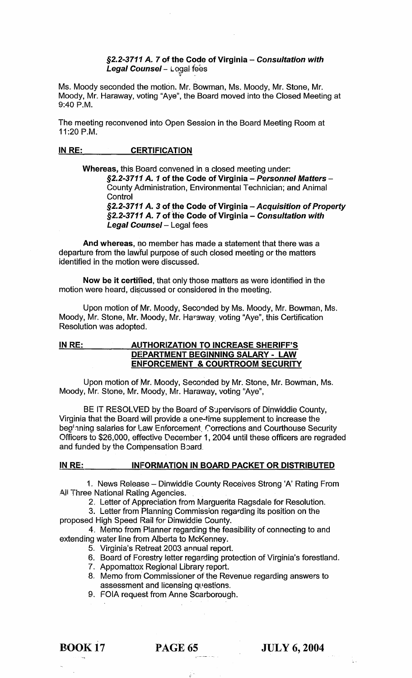# §2.2-3711 A. 7 of the Code of Virginia - Consultation with Le**gal Counsel** – ∟ତ୍ତୁରା fees

Ms. Moody seconded the motion. Mr. Bowman, Ms. Moody, Mr. Stone, Mr. Moody, Mr. Haraway, voting "Aye", the Board moved into the Closed Meeting at 9:40 P.M.

The meeting reconvened into Open Session in the Board Meeting Room at 11:20 P.M.

# IN RE: CERTIFICATION

Whereas, this Board convened in a closed meeting under:

§2.2-3711 A. 1 of the Code of Virginia - Personnel Matters -County Administration, Environmental Technician; and Animal **Control** 

 $\S$ 2.2-3711 A. 3 of the Code of Virginia - Acquisition of Property §2.2-3711 A. 7 of the Code of Virginia - Consultation with Legal Counsel - Legal fees

And whereas, no member has made a statement that there was a departure from the lawful purpose of such closed meeting or the matters identified in the motion were discussed.

Now be it certified, that only those matters as were identified in the motion were heard, discussed or considered in the meeting.

Upon motion of Mr. Moody, Seconded by Ms. Moody, Mr. Bowman, Ms. Moody, Mr. Stone, Mr. Moody, Mr. Hargway. voting "Aye", this Certification Resolution was adopted.

# IN RE: AUTHORIZATION TO INCREASE SHERIFF'S DE:PARTMENT BEGINNING SALARY - LAW ENFORCEMENT & COURTROOM SECURITY

Upon motion of Mr. Moody, Seconded by Mr. Stone, Mr. Bowman, Ms. Moody, Mr. Stone, Mr. Moody, Mr. Haraway, voting "Aye",

BE IT RESOLVED by the Board of S'Jpervisors of Dinwiddie County, Virginia that the Board will provide a one-time supplement to increase the beginning salaries for Law Enforcement, Corrections and Courthouse Security Officers to \$26,000, effective December 1, 2004 until these officers are regraded and funded by the Compensation Board.

# IN RE: INFORMATION IN BOARD PACKET OR DISTRIBUTED

1. News Release - Dinwiddie County Receives Strong 'A' Rating From All Three National Rating Agencies.

2, Letter of Appreciation from Marguerita Ragsdale for Resolution.

3. Letter from Planning Commission regarding its position on the proposed High Speed Rail for Dinwiddie County.

4, Memo from Planner regarding the feasibility of connecting to and extending water line from Alberta to McKenney.

- 5. Virginia's Retreat 2003 annual report.
- 6. Board of Forestry letter regarding protection of Virginia's forestland.
- 7. Appomattox Regional Library report.
- 8. Memo from Commissioner of the Revenue regarding answers to assessment and licensing questions.
- 9. FOIA request from Anne Scarborough.

# BOOK 17 PAGE 65 JULY 6, 2004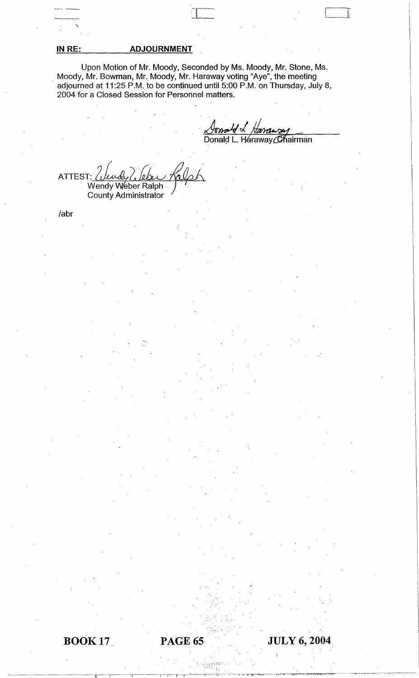# **IN RE: ADJOURNMENT**

Upon Motion of Mr. Moody, Seconded by Ms. Moody, Mr. Stone, Ms . Moody, Mr. Bowman, Mr. Moody, Mr. Haraway voting "Aye", the meeting adjourned at 11:25 P.M. to be continued until 5:00 P.M. on Thursday, July 8, 2004 for a Closed Session for Personnel matters.

 $\mathcal{U} \, \triangleleft \,$ Donald L. Haraway Chairman

--~~ -- [

11

ATTEST: *( بالمعدل) A*TTEST:<br>·· Wendy Weber Ralph County Administrator

labr

.~

.'

!,

 $\frac{1}{\sqrt{2}}\left( \frac{1}{\sqrt{2}}\left( \frac{1}{\sqrt{2}}\left( \frac{1}{\sqrt{2}}\left( \frac{1}{\sqrt{2}}\left( \frac{1}{\sqrt{2}}\left( \frac{1}{\sqrt{2}}\left( \frac{1}{\sqrt{2}}\left( \frac{1}{\sqrt{2}}\left( \frac{1}{\sqrt{2}}\right) -\frac{1}{\sqrt{2}}\left( \frac{1}{\sqrt{2}}\left( \frac{1}{\sqrt{2}}\left( \frac{1}{\sqrt{2}}\left( \frac{1}{\sqrt{2}}\right) -\frac{1}{\sqrt{2}}\left( \frac{1}{\sqrt{2}}$ 

**JULY 6,2004**